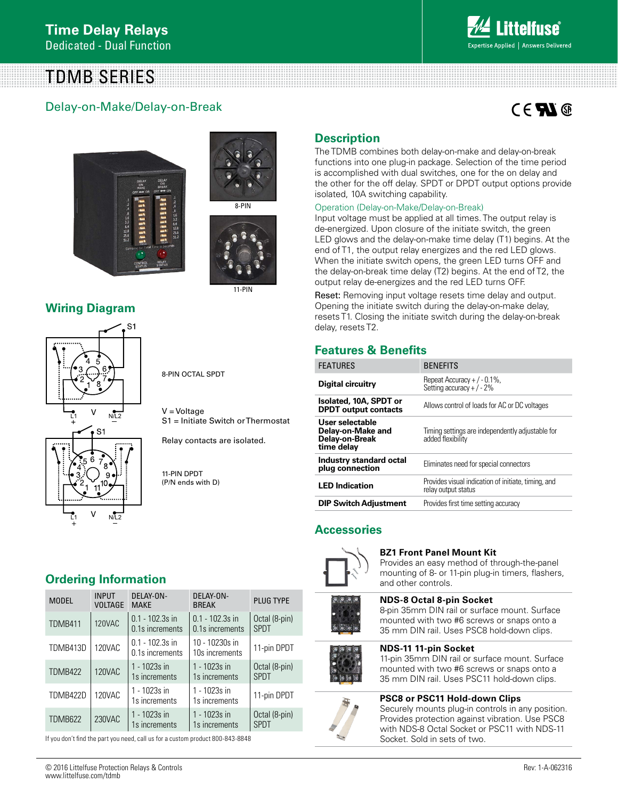TDMB SERIES

# Delay-on-Make/Delay-on-Break



# $C \in \mathbf{FL}$







11-PIN

**Wiring Diagram**



8-PIN OCTAL SPDT

V = Voltage S1 = Initiate Switch or Thermostat

Relay contacts are isolated.

11-PIN DPDT (P/N ends with D)

# **Ordering Information**

| <b>MODEL</b>   | <b>INPUT</b><br><b>VOLTAGE</b> | DELAY-ON-<br><b>MAKE</b>             | DELAY-ON-<br><b>BREAK</b>            | <b>PLUG TYPE</b>             |
|----------------|--------------------------------|--------------------------------------|--------------------------------------|------------------------------|
| TDMB411        | <b>120VAC</b>                  | $0.1 - 102.3s$ in<br>0.1s increments | $0.1 - 102.3s$ in<br>0.1s increments | Octal (8-pin)<br><b>SPDT</b> |
| TDMB413D       | 120VAC                         | $0.1 - 102.3s$ in<br>0.1s increments | 10 - 10230s in<br>10s increments     | 11-pin DPDT                  |
| <b>TDMB422</b> | 120VAC                         | 1 - 1023s in<br>1s increments        | 1 - 1023s in<br>1s increments        | Octal (8-pin)<br><b>SPDT</b> |
| TDMB422D       | 120VAC                         | 1 - 1023s in<br>1s increments        | 1 - 1023s in<br>1s increments        | 11-pin DPDT                  |
| <b>TDMB622</b> | 230VAC                         | 1 - 1023s in<br>1s increments        | 1 - 1023s in<br>1s increments        | Octal (8-pin)<br><b>SPDT</b> |

If you don't find the part you need, call us for a custom product 800-843-8848

**Description**

The TDMB combines both delay-on-make and delay-on-break functions into one plug-in package. Selection of the time period is accomplished with dual switches, one for the on delay and the other for the off delay. SPDT or DPDT output options provide isolated, 10A switching capability.

### Operation (Delay-on-Make/Delay-on-Break)

Input voltage must be applied at all times. The output relay is de-energized. Upon closure of the initiate switch, the green LED glows and the delay-on-make time delay (T1) begins. At the end of T1, the output relay energizes and the red LED glows. When the initiate switch opens, the green LED turns OFF and the delay-on-break time delay (T2) begins. At the end of T2, the output relay de-energizes and the red LED turns OFF.

Reset: Removing input voltage resets time delay and output. Opening the initiate switch during the delay-on-make delay, resets T1. Closing the initiate switch during the delay-on-break delay, resets T2.

# **Features & Benefits**

| <b>FEATURES</b>                                                      | <b>BENEFITS</b>                                                            |  |
|----------------------------------------------------------------------|----------------------------------------------------------------------------|--|
| Digital circuitry                                                    | Repeat Accuracy $+/-0.1\%$ ,<br>Setting accuracy + $/ - 2\%$               |  |
| Isolated, 10A, SPDT or<br><b>DPDT</b> output contacts                | Allows control of loads for AC or DC voltages                              |  |
| User selectable<br>Delay-on-Make and<br>Delay-on-Break<br>time delay | Timing settings are independently adjustable for<br>added flexibility      |  |
| <b>Industry standard octal</b><br>plug connection                    | Eliminates need for special connectors                                     |  |
| <b>LED</b> Indication                                                | Provides visual indication of initiate, timing, and<br>relay output status |  |
| <b>DIP Switch Adjustment</b>                                         | Provides first time setting accuracy                                       |  |

### **Accessories**



**BZ1 Front Panel Mount Kit**

Provides an easy method of through-the-panel mounting of 8- or 11-pin plug-in timers, flashers, and other controls.

# **NDS-8 Octal 8-pin Socket**

8-pin 35mm DIN rail or surface mount. Surface mounted with two #6 screws or snaps onto a 35 mm DIN rail. Uses PSC8 hold-down clips.

#### **NDS-11 11-pin Socket**

11-pin 35mm DIN rail or surface mount. Surface mounted with two #6 screws or snaps onto a 35 mm DIN rail. Uses PSC11 hold-down clips.

#### **PSC8 or PSC11 Hold-down Clips**